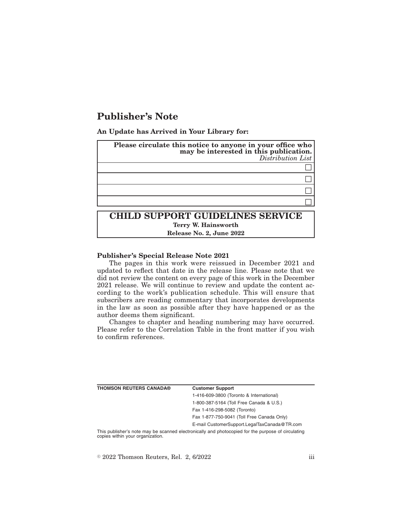# **Publisher's Note**

**An Update has Arrived in Your Library for:**

| may be interested in this publication.<br>Distribution List           |  |
|-----------------------------------------------------------------------|--|
|                                                                       |  |
|                                                                       |  |
|                                                                       |  |
|                                                                       |  |
|                                                                       |  |
| <b>CHILD SUPPORT GUIDELINES SERVICE</b><br><b>Terry W. Hainsworth</b> |  |

### **Release No. 2, June 2022**

#### **Publisher's Special Release Note 2021**

The pages in this work were reissued in December 2021 and updated to reflect that date in the release line. Please note that we did not review the content on every page of this work in the December 2021 release. We will continue to review and update the content according to the work's publication schedule. This will ensure that subscribers are reading commentary that incorporates developments in the law as soon as possible after they have happened or as the author deems them significant.

Changes to chapter and heading numbering may have occurred. Please refer to the Correlation Table in the front matter if you wish to confirm references.

| <b>THOMSON REUTERS CANADA®</b> | <b>Customer Support</b>                                                                            |
|--------------------------------|----------------------------------------------------------------------------------------------------|
|                                | 1-416-609-3800 (Toronto & International)                                                           |
|                                | 1-800-387-5164 (Toll Free Canada & U.S.)                                                           |
|                                | Fax 1-416-298-5082 (Toronto)                                                                       |
|                                | Fax 1-877-750-9041 (Toll Free Canada Only)                                                         |
|                                | E-mail CustomerSupport.LegalTaxCanada@TR.com                                                       |
|                                | This publisher's note may be scanned electronically and photocopied for the purpose of circulating |

copies within your organization.

 $\textdegree$  2022 Thomson Reuters, Rel. 2, 6/2022 iii